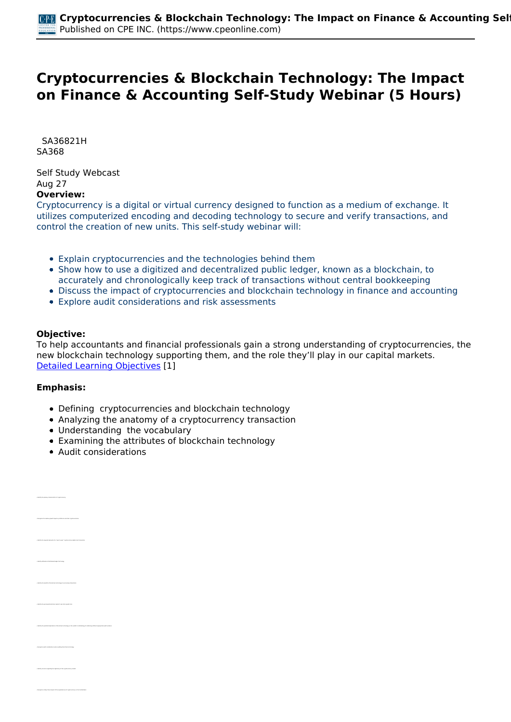# **Cryptocurrencies & Blockchain Technology: The Impact on Finance & Accounting Self-Study Webinar (5 Hours)**

 *SA36821H SA368* 

*Self Study Webcast Aug 27*  **Overview:** 

*Cryptocurrency is a digital or virtual currency designed to function as a medium of exchange. It utilizes computerized encoding and decoding technology to secure and verify transactions, and control the creation of new units. This self-study webinar will:*

- *Explain cryptocurrencies and the technologies behind them*
- *Show how to use a digitized and decentralized public ledger, known as a blockchain, to accurately and chronologically keep track of transactions without central bookkeeping*
- *Discuss the impact of cryptocurrencies and blockchain technology in finance and accounting*
- *Explore audit considerations and risk assessments*

### **Objective:**

*To help accountants and financial professionals gain a strong understanding of cryptocurrencies, the new blockchain technology supporting them, and the role they'll play in our capital markets. [Detailed Learning Objectives](https://www.cpeonline.com/JavaScript:showObjectivesPopup();) [1]*

### **Emphasis:**

- *Defining cryptocurrencies and blockchain technology*
- *Analyzing the anatomy of a cryptocurrency transaction*
- *Understanding the vocabulary*
- *Examining the attributes of blockchain technology*
- *Audit considerations*

| ter oras                                                                           |
|------------------------------------------------------------------------------------|
| of alamants of a "saw to a<br>more started needs to                                |
| <b>Gently amoun</b><br>las af disimilazioni lesiger toni                           |
| <b>Northern</b><br>and the chrysler for arms                                       |
| sale market's near kern p                                                          |
| of his<br>agy an the auditor's me                                                  |
| it considerations when auditing blocks haln behin                                  |
|                                                                                    |
| or a likely future impact of the expended use of regular arrangy on the Central Ba |